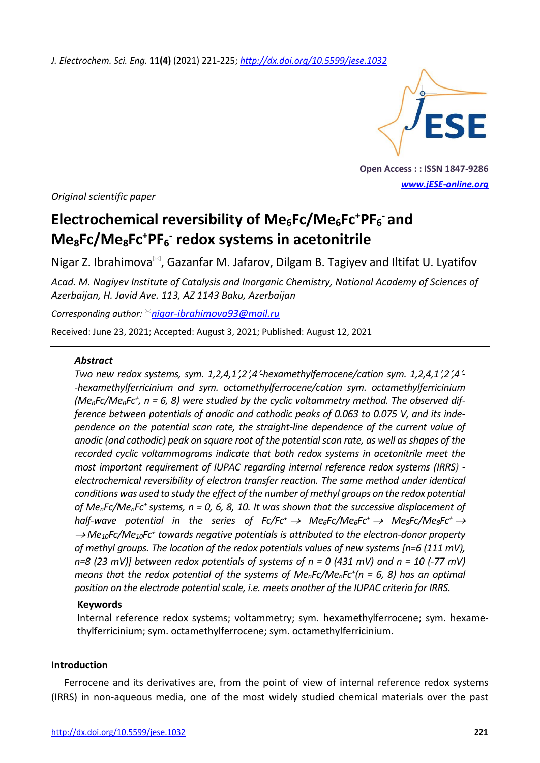*J. Electrochem. Sci. Eng.* **11(4)** (2021) 221-225; *<http://dx.doi.org/10.5599/jese.1032>*



**Open Access : : ISSN 1847-9286** *[www.jESE-online.org](http://www.jese-online.org/)*

*Original scientific paper*

# **Electrochemical reversibility of Me6Fc/Me6Fc<sup>+</sup>PF<sup>6</sup> - and Me8Fc/Me8Fc<sup>+</sup>PF<sup>6</sup> - redox systems in acetonitrile**

Nigar Z. Ibrahimova $\mathbb{Z}$ , Gazanfar M. Jafarov, Dilgam B. Tagiyev and Iltifat U. Lyatifov

*Acad. M. Nagiyev Institute of Catalysis and Inorganic Chemistry, National Academy of Sciences of Azerbaijan, H. Javid Ave. 113, AZ 1143 Baku, Azerbaijan*

*Corresponding author: [nigar-ibrahimova93@mail.ru](mailto:nigar-ibrahimova93@mail.ru)*

Received: June 23, 2021; Accepted: August 3, 2021; Published: August 12, 2021

#### *Abstract*

*Two new redox systems, sym. 1,2,4,1,2,4-hexamethylferrocene/cation sym. 1,2,4,1,2,4- -hexamethylferricinium and sym. octamethylferrocene/cation sym. octamethylferricinium (MenFc/MenFc<sup>+</sup> , n = 6, 8) were studied by the cyclic voltammetry method. The observed difference between potentials of anodic and cathodic peaks of 0.063 to 0.075 V, and its independence on the potential scan rate, the straight-line dependence of the current value of anodic (and cathodic) peak on square root of the potential scan rate, as well as shapes of the recorded cyclic voltammograms indicate that both redox systems in acetonitrile meet the most important requirement of IUPAC regarding internal reference redox systems (IRRS) electrochemical reversibility of electron transfer reaction. The same method under identical conditions was used to study the effect of the number of methyl groups on the redox potential of MenFc/MenFc<sup>+</sup>systems, n = 0, 6, 8, 10. It was shown that the successive displacement of half-wave potential in the series of*  $Fc/Fc^+ \rightarrow Me_6Fc/Me_6Fc^+ \rightarrow Me_8Fc/Me_8Fc^+ \rightarrow$ → *Me<sub>10</sub>Fc/Me<sub>10</sub>Fc<sup>+</sup> towards negative potentials is attributed to the electron-donor property of methyl groups. The location of the redox potentials values of new systems [n=6 (111 mV), n=8 (23 mV)] between redox potentials of systems of n = 0 (431 mV) and n = 10 (-77 mV) means that the redox potential of the systems of MenFc/MenFc<sup>+</sup> (n = 6, 8) has an optimal position on the electrode potential scale, i.e. meets another of the IUPAC criteria for IRRS.*

#### **Keywords**

Internal reference redox systems; voltammetry; sym. hexamethylferrocene; sym. hexamethylferricinium; sym. octamethylferrocene; sym. octamethylferricinium.

#### **Introduction**

Ferrocene and its derivatives are, from the point of view of internal reference redox systems (IRRS) in non-aqueous media, one of the most widely studied chemical materials over the past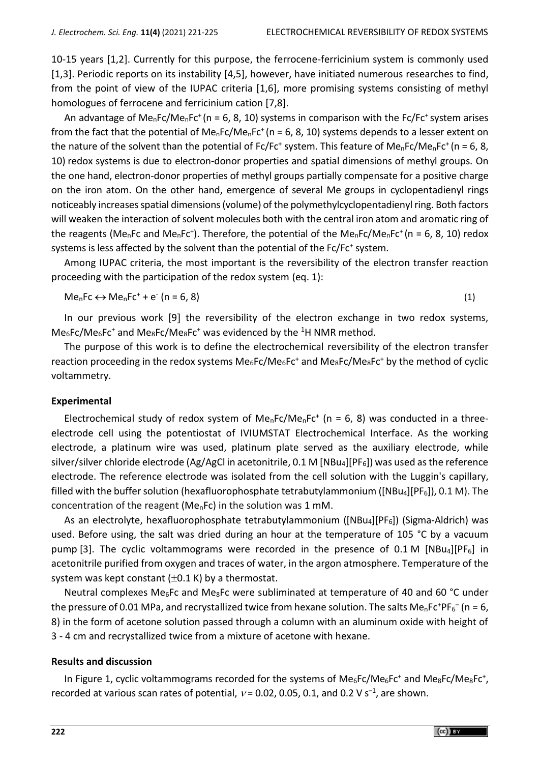10-15 years [1,2]. Currently for this purpose, the ferrocene-ferricinium system is commonly used [1,3]. Periodic reports on its instability [4,5], however, have initiated numerous researches to find, from the point of view of the IUPAC criteria [1,6], more promising systems consisting of methyl homologues of ferrocene and ferricinium cation [7,8].

An advantage of  $Me<sub>n</sub>Fc/Me<sub>n</sub>Fc<sup>+</sup>$  (n = 6, 8, 10) systems in comparison with the Fc/Fc<sup>+</sup> system arises from the fact that the potential of Me<sub>n</sub>Fc/Me<sub>n</sub>Fc<sup>+</sup> (n = 6, 8, 10) systems depends to a lesser extent on the nature of the solvent than the potential of Fc/Fc<sup>+</sup> system. This feature of Me<sub>n</sub>Fc/Me<sub>n</sub>Fc<sup>+</sup> (n = 6, 8, 10) redox systems is due to electron-donor properties and spatial dimensions of methyl groups. On the one hand, electron-donor properties of methyl groups partially compensate for a positive charge on the iron atom. On the other hand, emergence of several Me groups in cyclopentadienyl rings noticeably increases spatial dimensions (volume) of the polymethylcyclopentadienyl ring. Both factors will weaken the interaction of solvent molecules both with the central iron atom and aromatic ring of the reagents (Me<sub>n</sub>Fc and Me<sub>n</sub>Fc<sup>+</sup>). Therefore, the potential of the Me<sub>n</sub>Fc/Me<sub>n</sub>Fc<sup>+</sup> (n = 6, 8, 10) redox systems is less affected by the solvent than the potential of the Fc/Fc<sup>+</sup> system.

Among IUPAC criteria, the most important is the reversibility of the electron transfer reaction proceeding with the participation of the redox system (eq. 1):

$$
MenFc \leftrightarrow MenFc^+ + e^-(n = 6, 8)
$$
 (1)

In our previous work [9] the reversibility of the electron exchange in two redox systems,  $Me<sub>6</sub>FC/Me<sub>6</sub>FC<sup>+</sup>$  and  $Me<sub>8</sub>FC/Me<sub>8</sub>FC<sup>+</sup>$  was evidenced by the <sup>1</sup>H NMR method.

The purpose of this work is to define the electrochemical reversibility of the electron transfer reaction proceeding in the redox systems  $Me_6Fe/Me_6Fe^+$  and  $Me_8Fe/Me_8Fe^+$  by the method of cyclic voltammetry.

#### **Experimental**

Electrochemical study of redox system of  $Me<sub>n</sub>Fc/Me<sub>n</sub>Fc<sup>+</sup>$  (n = 6, 8) was conducted in a threeelectrode cell using the potentiostat of IVIUMSTAT Electrochemical Interface. As the working electrode, a platinum wire was used, platinum plate served as the auxiliary electrode, while silver/silver chloride electrode (Ag/AgCl in acetonitrile, 0.1 M [NBu4][PF6]) was used as the reference electrode. The reference electrode was isolated from the cell solution with the Luggin's capillary, filled with the buffer solution (hexafluorophosphate tetrabutylammonium ([NBu<sub>4</sub>][PF<sub>6</sub>]), 0.1 M). The concentration of the reagent (MenFc) in the solution was 1 mM.

As an electrolyte, hexafluorophosphate tetrabutylammonium ([NBu<sub>4</sub>][PF<sub>6</sub>]) (Sigma-Aldrich) was used. Before using, the salt was dried during an hour at the temperature of 105 °C by a vacuum pump [3]. The cyclic voltammograms were recorded in the presence of 0.1 M [NBu4][PF<sub>6</sub>] in acetonitrile purified from oxygen and traces of water, in the argon atmosphere. Temperature of the system was kept constant  $(\pm 0.1 \text{ K})$  by a thermostat.

Neutral complexes Me<sub>6</sub>Fc and Me<sub>8</sub>Fc were subliminated at temperature of 40 and 60 °C under the pressure of 0.01 MPa, and recrystallized twice from hexane solution. The salts Me<sub>n</sub>Fc<sup>+</sup>PF<sub>6</sub><sup>-</sup> (n = 6, 8) in the form of acetone solution passed through a column with an aluminum oxide with height of 3 - 4 cm and recrystallized twice from a mixture of acetone with hexane.

#### **Results and discussion**

In Figure 1, cyclic voltammograms recorded for the systems of  $Me_6Fe/Me_6Fe^+$  and  $Me_8Fe/Me_8Fe^+$ , recorded at various scan rates of potential,  $v$  = 0.02, 0.05, 0.1, and 0.2 V s<sup>-1</sup>, are shown.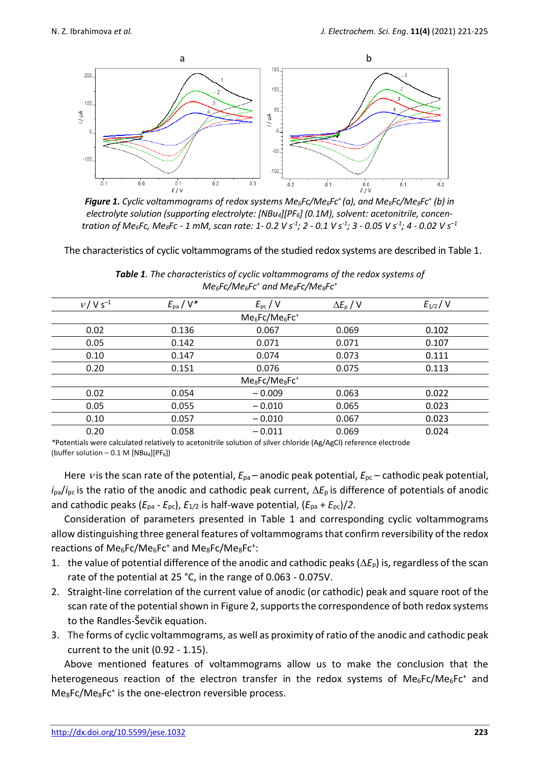

*Figure 1. Cyclic voltammograms of redox systems Me6Fc/Me6Fc<sup>+</sup>(a), and Me8Fc/Me8Fc<sup>+</sup> (b) in electrolyte solution (supporting electrolyte: [NBu4][PF6] (0.1M), solvent: acetonitrile, concen*tration of Me $_6$ Fc, Me $_8$ Fc - 1 mM, scan rate: 1- 0.2 V s $^{\text{-}1}$ ; 2 - 0.1 V s $^{\text{-}1}$ ; 3 - 0.05 V s $^{\text{-}1}$ ; 4 - 0.02 V s $^{\text{-}1}$ 

The characteristics of cyclic voltammograms of the studied redox systems are described in Table 1.

| $v / V S^{-1}$                                     | $E_{\rm pa}$ / $V^*$ | $E_{\rm pc}$ / V | $\Delta E_{\rm p}$ / V | $E_{1/2}$ / V |  |  |  |
|----------------------------------------------------|----------------------|------------------|------------------------|---------------|--|--|--|
| $Me_6$ Fc/Me $_6$ Fc <sup>+</sup>                  |                      |                  |                        |               |  |  |  |
| 0.02                                               | 0.136                | 0.067            | 0.069                  | 0.102         |  |  |  |
| 0.05                                               | 0.142                | 0.071            | 0.071                  | 0.107         |  |  |  |
| 0.10                                               | 0.147                | 0.074            | 0.073                  | 0.111         |  |  |  |
| 0.20                                               | 0.151                | 0.076            | 0.075                  | 0.113         |  |  |  |
| Me <sub>8</sub> Fc/Me <sub>8</sub> Fc <sup>+</sup> |                      |                  |                        |               |  |  |  |
| 0.02                                               | 0.054                | $-0.009$         | 0.063                  | 0.022         |  |  |  |
| 0.05                                               | 0.055                | $-0.010$         | 0.065                  | 0.023         |  |  |  |
| 0.10                                               | 0.057                | $-0.010$         | 0.067                  | 0.023         |  |  |  |
| 0.20                                               | 0.058                | $-0.011$         | 0.069                  | 0.024         |  |  |  |
|                                                    |                      |                  |                        |               |  |  |  |

*Table 1. The characteristics of cyclic voltammograms of the redox systems of Me6Fc/Me6Fc<sup>+</sup> and Me8Fc/Me8Fc<sup>+</sup>*

*\**Potentials were calculated relatively to acetonitrile solution of silver chloride (Ag/AgCl) reference electrode (buffer solution – 0.1 M  $[NBu_4][PF_6]$ )

Here *v* is the scan rate of the potential,  $E_{pa}$  – anodic peak potential,  $E_{pc}$  – cathodic peak potential,  $i_{pa}/i_{pc}$  is the ratio of the anodic and cathodic peak current,  $\Delta E_p$  is difference of potentials of anodic and cathodic peaks (*E*pa - *E*pс), *E*1*/*<sup>2</sup> is half-wave potential, (*E*pa + *E*pс)/*2*.

Consideration of parameters presented in Table 1 and corresponding cyclic voltammograms allow distinguishing three general features of voltammograms that confirm reversibility of the redox reactions of Me<sub>6</sub>Fc/Me<sub>6</sub>Fc<sup>+</sup> and Me<sub>8</sub>Fc/Me<sub>8</sub>Fc<sup>+</sup>:

- 1. the value of potential difference of the anodic and cathodic peaks  $(\Delta E_p)$  is, regardless of the scan rate of the potential at 25 °C, in the range of 0.063 - 0.075V.
- 2. Straight-line correlation of the current value of anodic (or cathodic) peak and square root of the scan rate of the potential shown in Figure 2, supports the correspondence of both redox systems to the Randles-Ševčik equation.
- 3. The forms of cyclic voltammograms, as well as proximity of ratio of the anodic and cathodic peak current to the unit (0.92 - 1.15).

Above mentioned features of voltammograms allow us to make the conclusion that the heterogeneous reaction of the electron transfer in the redox systems of  $Me_6Fe/Me_6Fe^+$  and Me<sub>8</sub>Fc/Me<sub>8</sub>Fc<sup>+</sup> is the one-electron reversible process.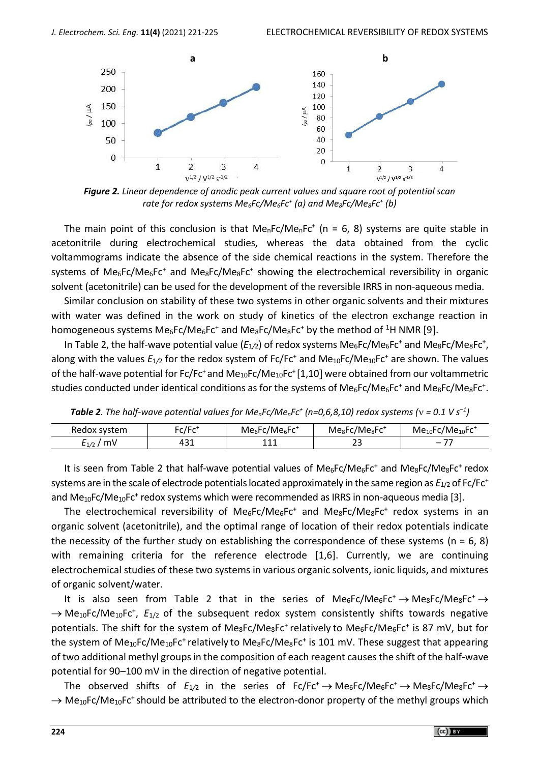

*Figure 2. Linear dependence of anodic peak current values and square root of potential scan rate for redox systems Me6Fc/Me6Fc<sup>+</sup> (a) and Me8Fc/Me8Fc<sup>+</sup> (b)*

The main point of this conclusion is that  $Me<sub>n</sub>Fc/Me<sub>n</sub>Fc<sup>+</sup>$  (n = 6, 8) systems are quite stable in acetonitrile during electrochemical studies, whereas the data obtained from the cyclic voltammograms indicate the absence of the side chemical reactions in the system. Therefore the systems of Me<sub>6</sub>Fc/Me<sub>6</sub>Fc<sup>+</sup> and Me<sub>8</sub>Fc/Me<sub>8</sub>Fc<sup>+</sup> showing the electrochemical reversibility in organic solvent (acetonitrile) can be used for the development of the reversible IRRS in non-aqueous media.

Similar conclusion on stability of these two systems in other organic solvents and their mixtures with water was defined in the work on study of kinetics of the electron exchange reaction in homogeneous systems  $Me_6Fe/Me_6Fe^+$  and  $Me_8Fe/Me_8Fe^+$  by the method of <sup>1</sup>H NMR [9].

In Table 2, the half-wave potential value (E<sub>1/2</sub>) of redox systems Me<sub>6</sub>Fc/Me<sub>6</sub>Fc<sup>+</sup> and Me<sub>8</sub>Fc/Me<sub>8</sub>Fc<sup>+</sup>, along with the values  $E_{1/2}$  for the redox system of Fc/Fc<sup>+</sup> and Me<sub>10</sub>Fc/Me<sub>10</sub>Fc<sup>+</sup> are shown. The values of the half-wave potential for  $Fc/Fc^+$  and  $Me_{10}Fc/Me_{10}Fc^+[1,10]$  were obtained from our voltammetric studies conducted under identical conditions as for the systems of Me<sub>6</sub>Fc/Me<sub>6</sub>Fc<sup>+</sup> and Me<sub>8</sub>Fc/Me<sub>8</sub>Fc<sup>+</sup>.

| Redox system    | $\mathsf{r}\mathsf{c}/\mathsf{F}\mathsf{r}^*$ | $Me_6$ Fc/Me $_6$ Fc <sup>+</sup> | $Me8$ Fc/Me $8$ Fc <sup>+</sup> | $Me10$ Fc/Me $10$ Fc <sup>+</sup> |
|-----------------|-----------------------------------------------|-----------------------------------|---------------------------------|-----------------------------------|
| mV<br>$E_{1/2}$ | + ט+                                          |                                   | ۔ ے                             | $\overline{\phantom{0}}$          |

**Table 2**. The half-wave potential values for Me<sub>n</sub>Fc/Me<sub>n</sub>Fc<sup>+</sup> (n=0,6,8,10) redox systems ( $v = 0.1 V s^{-1}$ )

It is seen from Table 2 that half-wave potential values of  $Me_6Fe/Me_6Fe^+$  and  $Me_8Fe/Me_8Fe^+$  redox systems are in the scale of electrode potentials located approximately in the same region as *E*1/2 of Fc/Fc<sup>+</sup> and Me<sub>10</sub>Fc/Me<sub>10</sub>Fc<sup>+</sup> redox systems which were recommended as IRRS in non-aqueous media [3].

The electrochemical reversibility of  $Me_6Fe/Me_6Fe^+$  and  $Me_8Fe/Me_8Fe^+$  redox systems in an organic solvent (acetonitrile), and the optimal range of location of their redox potentials indicate the necessity of the further study on establishing the correspondence of these systems ( $n = 6, 8$ ) with remaining criteria for the reference electrode [1,6]. Currently, we are continuing electrochemical studies of these two systems in various organic solvents, ionic liquids, and mixtures of organic solvent/water.

It is also seen from Table 2 that in the series of  $Me_6Fe/Me_6Fe^+ \rightarrow Me_8Fe/Me_8Fe^+ \rightarrow$ → Me<sub>10</sub>Fc/Me<sub>10</sub>Fc<sup>+</sup>, E<sub>1/2</sub> of the subsequent redox system consistently shifts towards negative potentials. The shift for the system of Me<sub>8</sub>Fc/Me<sub>8</sub>Fc<sup>+</sup> relatively to Me<sub>6</sub>Fc/Me<sub>6</sub>Fc<sup>+</sup> is 87 mV, but for the system of  $Me_{10}$ Fc/Me<sub>10</sub>Fc<sup>+</sup> relatively to Me<sub>8</sub>Fc/Me<sub>8</sub>Fc<sup>+</sup> is 101 mV. These suggest that appearing of two additional methyl groups in the composition of each reagent causes the shift of the half-wave potential for 90–100 mV in the direction of negative potential.

The observed shifts of  $E_{1/2}$  in the series of Fc/Fc<sup>+</sup>  $\rightarrow$  Me<sub>6</sub>Fc/Me<sub>6</sub>Fc<sup>+</sup>  $\rightarrow$  Me<sub>8</sub>Fc/Me<sub>8</sub>Fc<sup>+</sup>  $\rightarrow$  $\rightarrow$  Me<sub>10</sub>Fc/Me<sub>10</sub>Fc<sup>+</sup> should be attributed to the electron-donor property of the methyl groups which